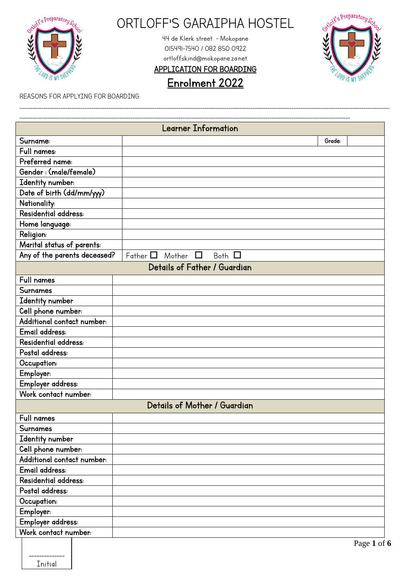

\_\_\_\_\_\_\_\_\_\_\_\_\_\_ Initial

# ORTLOFF'S GARAIPHA HOSTEL

44 de Klerk street - Mokopane 015491-7540 / 082 850 0922 ortloffskind@mokopane.za.net

APPLICATION FOR BOARDING

\_\_\_\_\_\_\_\_\_\_\_\_\_\_\_\_\_\_\_\_\_\_\_\_\_\_\_\_\_\_\_\_\_\_\_\_\_\_\_\_\_\_\_\_\_\_\_\_\_\_\_\_\_\_\_\_\_\_\_\_\_\_\_\_\_\_\_\_\_\_\_\_\_\_\_\_\_\_\_\_\_\_\_\_\_\_\_\_\_\_\_\_\_\_\_\_\_\_\_\_\_\_\_\_\_\_\_\_\_\_\_\_\_\_\_\_\_\_\_\_\_\_\_\_\_\_\_\_\_\_\_\_\_\_\_\_\_\_\_\_\_\_\_\_\_\_\_\_\_\_\_\_\_\_\_\_\_\_\_\_\_\_\_\_\_\_\_\_\_\_



Enrolment 2022

REASONS FOR APPLYING FOR BOARDING:

|                              | Learner Information                     |                         |
|------------------------------|-----------------------------------------|-------------------------|
| Surname:                     |                                         | Grade:                  |
| Full names:                  |                                         |                         |
| Preferred name:              |                                         |                         |
| Gender: (male/female)        |                                         |                         |
| Identity number:             |                                         |                         |
| Date of birth (dd/mm/yyy)    |                                         |                         |
| Nationality:                 |                                         |                         |
| Residential address:         |                                         |                         |
| Home language:               |                                         |                         |
| <b>Religion:</b>             |                                         |                         |
| Marital status of parents:   |                                         |                         |
| Any of the parents deceased? | Father $\Box$ Mother $\Box$ Both $\Box$ |                         |
|                              | Details of Father / Guardian            |                         |
| Full names                   |                                         |                         |
| Surnames                     |                                         |                         |
| Identity number              |                                         |                         |
| Cell phone number:           |                                         |                         |
| Additional contact number:   |                                         |                         |
| Email address:               |                                         |                         |
| Residential address:         |                                         |                         |
| Postal address:              |                                         |                         |
| Occupation:                  |                                         |                         |
| Employer:                    |                                         |                         |
| Employer address:            |                                         |                         |
| Work contact number:         |                                         |                         |
|                              | Details of Mother / Guardian            |                         |
| Full names                   |                                         |                         |
| Surnames                     |                                         |                         |
| Identity number              |                                         |                         |
| Cell phone number:           |                                         |                         |
| Additional contact number:   |                                         |                         |
| Email address:               |                                         |                         |
| Residential address:         |                                         |                         |
| Postal address:              |                                         |                         |
| Occupation:                  |                                         |                         |
| Employer:                    |                                         |                         |
| Employer address:            |                                         |                         |
| Work contact number:         |                                         |                         |
|                              |                                         | $D_{0}$ and $\theta$ of |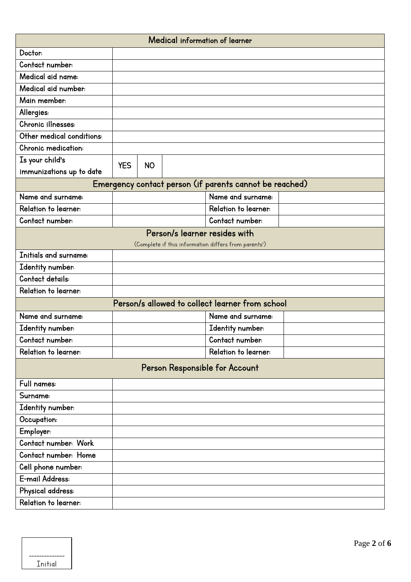| Medical information of learner |            |           |                                                         |  |
|--------------------------------|------------|-----------|---------------------------------------------------------|--|
| Doctor:                        |            |           |                                                         |  |
| Contact number:                |            |           |                                                         |  |
| Medical aid name:              |            |           |                                                         |  |
| Medical aid number:            |            |           |                                                         |  |
| Main member:                   |            |           |                                                         |  |
| Allergies:                     |            |           |                                                         |  |
| Chronic illnesses:             |            |           |                                                         |  |
| Other medical conditions:      |            |           |                                                         |  |
| Chronic medication:            |            |           |                                                         |  |
| Is your child's                | <b>YES</b> | <b>NO</b> |                                                         |  |
| immunizations up to date       |            |           |                                                         |  |
|                                |            |           | Emergency contact person (if parents cannot be reached) |  |
| Name and surname:              |            |           | Name and surname:                                       |  |
| Relation to learner:           |            |           | Relation to learner:                                    |  |
| Contact number:                |            |           | Contact number:                                         |  |
|                                |            |           | Person/s learner resides with                           |  |
|                                |            |           | (Complete if this information differs from parents')    |  |
| Initials and surname:          |            |           |                                                         |  |
| Identity number:               |            |           |                                                         |  |
| Contact details:               |            |           |                                                         |  |
| Relation to learner:           |            |           |                                                         |  |
|                                |            |           | Person/s allowed to collect learner from school         |  |
| Name and surname:              |            |           | Name and surname:                                       |  |
| Identity number:               |            |           | Identity number:                                        |  |
| Contact number:                |            |           | Contact number:                                         |  |
| Relation to learner:           |            |           | Relation to learner:                                    |  |
|                                |            |           | Person Responsible for Account                          |  |
| Full names:                    |            |           |                                                         |  |
| Surname:                       |            |           |                                                         |  |
| Identity number:               |            |           |                                                         |  |
| Occupation:                    |            |           |                                                         |  |
| Employer:                      |            |           |                                                         |  |
| Contact number: Work           |            |           |                                                         |  |
| Contact number: Home           |            |           |                                                         |  |
| Cell phone number:             |            |           |                                                         |  |
| E-mail Address:                |            |           |                                                         |  |
| Physical address:              |            |           |                                                         |  |
| Relation to learner:           |            |           |                                                         |  |

| Initial |  |
|---------|--|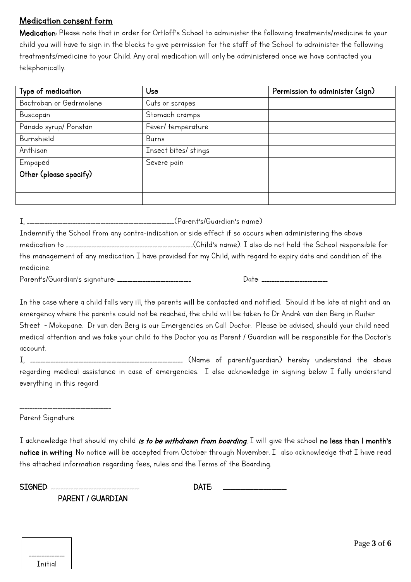### Medication consent form

Medication: Please note that in order for Ortloff's School to administer the following treatments/medicine to your child you will have to sign in the blocks to give permission for the staff of the School to administer the following treatments/medicine to your Child. Any oral medication will only be administered once we have contacted you telephonically.

| Type of medication      | Use                  | Permission to administer (sign) |
|-------------------------|----------------------|---------------------------------|
| Bactroban or Gedrmolene | Cuts or scrapes      |                                 |
| Buscopan                | Stomach cramps       |                                 |
| Panado syrup/ Ponstan   | Fever/temperature    |                                 |
| Burnshield              | Burns                |                                 |
| Anthisan                | Insect bites/ stings |                                 |
| Empaped                 | Severe pain          |                                 |
| Other (please specify)  |                      |                                 |
|                         |                      |                                 |
|                         |                      |                                 |

|           | Indemnify the School from any contra-indication or side effect if so occurs when administering the above       |
|-----------|----------------------------------------------------------------------------------------------------------------|
|           |                                                                                                                |
|           | the management of any medication I have provided for my Child, with regard to expiry date and condition of the |
| medicine. |                                                                                                                |
|           | Date:                                                                                                          |

In the case where a child falls very ill, the parents will be contacted and notified. Should it be late at night and an emergency where the parents could not be reached, the child will be taken to Dr André van den Berg in Ruiter Street - Mokopane. Dr van den Berg is our Emergencies on Call Doctor. Please be advised, should your child need medical attention and we take your child to the Doctor you as Parent / Guardian will be responsible for the Doctor's account.

I, \_\_\_\_\_\_\_\_\_\_\_\_\_\_\_\_\_\_\_\_\_\_\_\_\_\_\_\_\_\_\_\_\_\_\_\_\_\_\_\_\_\_\_\_\_\_\_\_\_\_\_\_\_\_\_\_\_\_\_\_ (Name of parent/guardian) hereby understand the above regarding medical assistance in case of emergencies. I also acknowledge in signing below I fully understand everything in this regard.

Parent Signature

\_\_\_\_\_\_\_\_\_\_\_\_\_\_\_\_\_\_\_\_\_\_\_\_\_\_\_\_\_\_\_\_\_\_\_\_

I acknowledge that should my child is to be withdrawn from boarding, I will give the school no less than I month's notice in writing. No notice will be accepted from October through November. I also acknowledge that I have read the attached information regarding fees, rules and the Terms of the Boarding.

SIGNED: \_\_\_\_\_\_\_\_\_\_\_\_\_\_\_\_\_\_\_\_\_\_\_\_\_\_\_\_\_\_\_\_\_\_\_ DATE: \_\_\_\_\_\_\_\_\_\_\_\_\_\_\_\_\_\_\_\_\_\_\_\_\_

PARENT / GUARDIAN

| Tnitial |  |
|---------|--|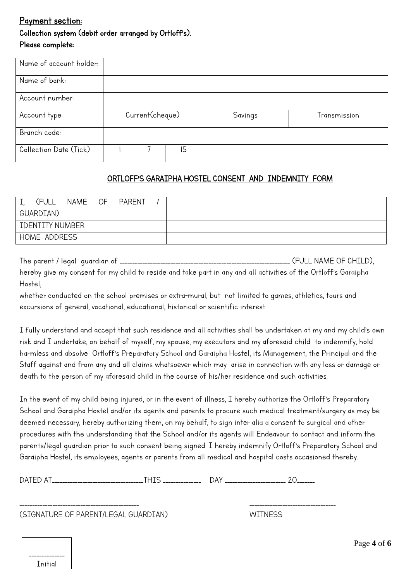## Payment section: Collection system (debit order arranged by Ortloff's). Please complete:

| Name of account holder: |                 |    |         |              |
|-------------------------|-----------------|----|---------|--------------|
| Name of bank:           |                 |    |         |              |
| Account number:         |                 |    |         |              |
| Account type:           | Current(cheque) |    | Savings | Transmission |
| Branch code:            |                 |    |         |              |
| Collection Date (Tick)  |                 | 15 |         |              |

#### ORTLOFF'S GARAIPHA HOSTEL CONSENT AND INDEMNITY FORM

| (FULL                  | NAME OF | <b>PARENT</b> |  |
|------------------------|---------|---------------|--|
| GUARDIAN)              |         |               |  |
| <b>IDENTITY NUMBER</b> |         |               |  |
| HOME ADDRESS           |         |               |  |

|                                                                                                                 | (FULL NAME OF CHILD), |
|-----------------------------------------------------------------------------------------------------------------|-----------------------|
| hereby give my consent for my child to reside and take part in any and all activities of the Ortloff's Garaipha |                       |
| Hostel,                                                                                                         |                       |

whether conducted on the school premises or extra-mural, but not limited to games, athletics, tours and excursions of general, vocational, educational, historical or scientific interest.

I fully understand and accept that such residence and all activities shall be undertaken at my and my child's own risk and I undertake, on behalf of myself, my spouse, my executors and my aforesaid child to indemnify, hold harmless and absolve Ortloff's Preparatory School and Garaipha Hostel, its Management, the Principal and the Staff against and from any and all claims whatsoever which may arise in connection with any loss or damage or death to the person of my aforesaid child in the course of his/her residence and such activities.

In the event of my child being injured, or in the event of illness, I hereby authorize the Ortloff's Preparatory School and Garaipha Hostel and/or its agents and parents to procure such medical treatment/surgery as may be deemed necessary, hereby authorizing them, on my behalf, to sign inter alia a consent to surgical and other procedures with the understanding that the School and/or its agents will Endeavour to contact and inform the parents/legal guardian prior to such consent being signed. I hereby indemnify Ortloff's Preparatory School and Garaipha Hostel, its employees, agents or parents from all medical and hospital costs occasioned thereby.

| $\sim$ $\sim$<br>$\mathbf{u}$<br>س<br>-----------------<br>- 1-<br> | .<br>_______<br>___________________________ |
|---------------------------------------------------------------------|---------------------------------------------|
|---------------------------------------------------------------------|---------------------------------------------|

\_\_\_\_\_\_\_\_\_\_\_\_\_\_\_\_\_\_\_\_\_\_\_\_\_\_\_\_\_\_\_\_\_\_\_\_\_\_\_\_\_\_\_\_\_\_\_ \_\_\_\_\_\_\_\_\_\_\_\_\_\_\_\_\_\_\_\_\_\_\_\_\_\_\_\_\_\_\_\_\_\_

(SIGNATURE OF PARENT/LEGAL GUARDIAN) WITNESS

| Tnitial |
|---------|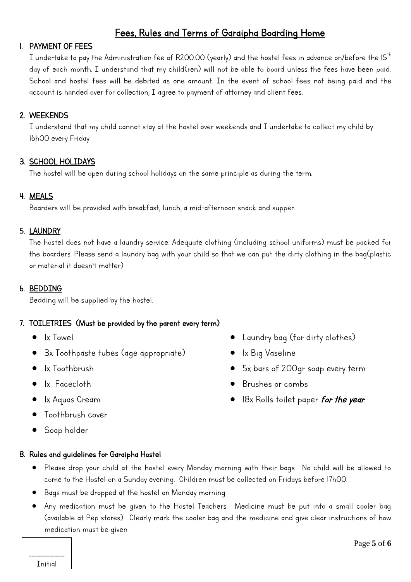# Fees, Rules and Terms of Garaipha Boarding Home

#### 1. PAYMENT OF FEES

 $I$  undertake to pay the Administration fee of R200.00 (yearly) and the hostel fees in advance on/before the IS $^\mathrm{th}$ day of each month. I understand that my child(ren) will not be able to board unless the fees have been paid. School and hostel fees will be debited as one amount. In the event of school fees not being paid and the account is handed over for collection, I agree to payment of attorney and client fees.

#### 2. WEEKENDS

I understand that my child cannot stay at the hostel over weekends and I undertake to collect my child by 16h00 every Friday.

#### 3. SCHOOL HOLIDAYS

The hostel will be open during school holidays on the same principle as during the term.

#### 4. MEALS

Boarders will be provided with breakfast, lunch, a mid-afternoon snack and supper.

#### 5. LAUNDRY

The hostel does not have a laundry service. Adequate clothing (including school uniforms) must be packed for the boarders. Please send a laundry bag with your child so that we can put the dirty clothing in the bag(plastic or material it doesn't matter)

#### 6. BEDDING

Bedding will be supplied by the hostel.

#### 7. TOILETRIES (Must be provided by the parent every term)

- 1x Towel
- 3x Toothpaste tubes (age appropriate)
- 1x Toothbrush
- 1x Facecloth
- 1x Aquas Cream
- Toothbrush cover
- Soap holder
- 8. Rules and guidelines for Garaipha Hostel
- Laundry bag (for dirty clothes)
- 1x Big Vaseline
- 5x bars of 200gr soap every term
- Brushes or combs
- 18x Rolls toilet paper *for the year*.

- Please drop your child at the hostel every Monday morning with their bags. No child will be allowed to come to the Hostel on a Sunday evening. Children must be collected on Fridays before 17h00.
- Bags must be dropped at the hostel on Monday morning.
- Any medication must be given to the Hostel Teachers. Medicine must be put into a small cooler bag (available at Pep stores). Clearly mark the cooler bag and the medicine and give clear instructions of how medication must be given.